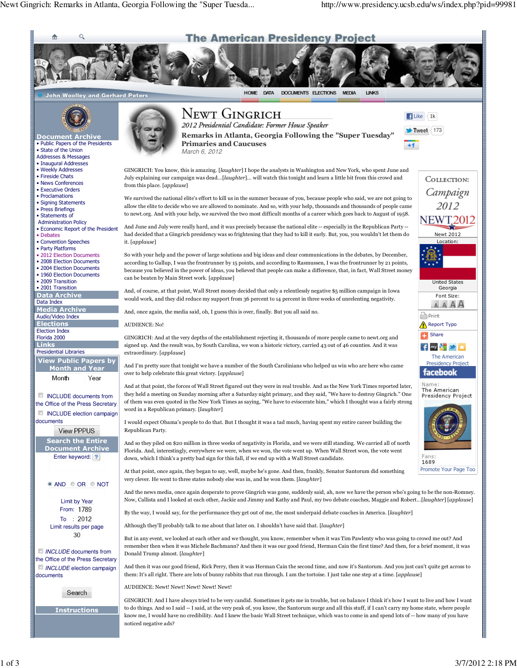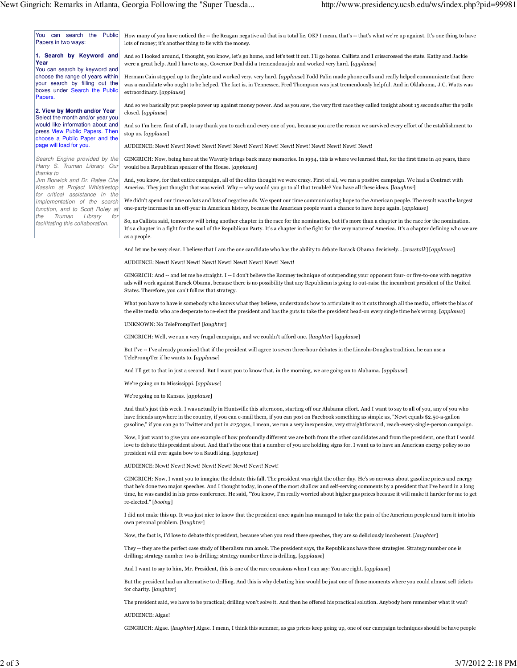You can search the Public Papers in two ways:

**1. Search by Keyword and Year**

You can search by keyword and choose the range of years within your search by filling out the boxes under Search the Public **Papers** 

**2. View by Month and/or Year** Select the month and/or year you would like information about and press View Public Papers. Then choose a Public Paper and the page will load for you.

Search Engine provided by the Harry S. Truman Library. Our thanks to

Jim Borwick and Dr. Rafee Che Kassim at Project Whistlestop for critical assistance in the implementation of the search function, and to Scott Roley at the Truman Library for facilitating this collaboration.

How many of you have noticed the -- the Reagan negative ad that is a total lie, OK? I mean, that's -- that's what we're up against. It's one thing to have lots of money; it's another thing to lie with the money.

And so I looked around, I thought, you know, let's go home, and let's test it out. I'll go home. Callista and I crisscrossed the state. Kathy and Jackie were a great help. And I have to say, Governor Deal did a tremendous job and worked very hard. [applause]

Herman Cain stepped up to the plate and worked very, very hard. [applause] Todd Palin made phone calls and really helped communicate that there was a candidate who ought to be helped. The fact is, in Tennessee, Fred Thompson was just tremendously helpful. And in Oklahoma, J.C. Watts was extraordinary. [applause]

And so we basically put people power up against money power. And as you saw, the very first race they called tonight about 15 seconds after the polls closed. [applause]

And so I'm here, first of all, to say thank you to each and every one of you, because you are the reason we survived every effort of the establishment to stop us. [applause]

AUDIENCE: Newt! Newt! Newt! Newt! Newt! Newt! Newt! Newt! Newt! Newt! Newt! Newt! Newt! Newt!

GINGRICH: Now, being here at the Waverly brings back many memories. In 1994, this is where we learned that, for the first time in 40 years, there would be a Republican speaker of the House. [applause]

And, you know, for that entire campaign, all of the elites thought we were crazy. First of all, we ran a positive campaign. We had a Contract with America. They just thought that was weird. Why -- why would you go to all that trouble? You have all these ideas. [laughter]

We didn't spend our time on lots and lots of negative ads. We spent our time communicating hope to the American people. The result was the largest one-party increase in an off-year in American history, because the American people want a chance to have hope again. [applause]

So, as Callista said, tomorrow will bring another chapter in the race for the nomination, but it's more than a chapter in the race for the nomination. It's a chapter in a fight for the soul of the Republican Party. It's a chapter in the fight for the very nature of America. It's a chapter defining who we are as a people.

And let me be very clear. I believe that I am the one candidate who has the ability to debate Barack Obama decisively...[crosstalk] [applause]

AUDIENCE: Newt! Newt! Newt! Newt! Newt! Newt! Newt! Newt! Newt!

GINGRICH: And -- and let me be straight. I -- I don't believe the Romney technique of outspending your opponent four- or five-to-one with negative ads will work against Barack Obama, because there is no possibility that any Republican is going to out-raise the incumbent president of the United States. Therefore, you can't follow that strategy.

What you have to have is somebody who knows what they believe, understands how to articulate it so it cuts through all the media, offsets the bias of the elite media who are desperate to re-elect the president and has the guts to take the president head-on every single time he's wrong. [applause]

UNKNOWN: No TelePrompTer! [laughter]

GINGRICH: Well, we run a very frugal campaign, and we couldn't afford one. [laughter] [applause]

But I've -- I've already promised that if the president will agree to seven three-hour debates in the Lincoln-Douglas tradition, he can use a TelePrompTer if he wants to. [applause]

And I'll get to that in just a second. But I want you to know that, in the morning, we are going on to Alabama. [applause]

We're going on to Mississippi. [applause]

We're going on to Kansas. [applause]

And that's just this week. I was actually in Huntsville this afternoon, starting off our Alabama effort. And I want to say to all of you, any of you who have friends anywhere in the country, if you can e-mail them, if you can post on Facebook something as simple as, "Newt equals \$2.50-a-gallon gasoline," if you can go to Twitter and put in #250gas, I mean, we run a very inexpensive, very straightforward, reach-every-single-person campaign.

Now, I just want to give you one example of how profoundly different we are both from the other candidates and from the president, one that I would love to debate this president about. And that's the one that a number of you are holding signs for. I want us to have an American energy policy so no president will ever again bow to a Saudi king. [applause]

AUDIENCE: Newt! Newt! Newt! Newt! Newt! Newt! Newt! Newt!

GINGRICH: Now, I want you to imagine the debate this fall. The president was right the other day. He's so nervous about gasoline prices and energy that he's done two major speeches. And I thought today, in one of the most shallow and self-serving comments by a president that I've heard in a long time, he was candid in his press conference. He said, "You know, I'm really worried about higher gas prices because it will make it harder for me to get re-elected." [booing]

I did not make this up. It was just nice to know that the president once again has managed to take the pain of the American people and turn it into his own personal problem. [laughter]

Now, the fact is, I'd love to debate this president, because when you read these speeches, they are so deliciously incoherent. [*laughter*]

They -- they are the perfect case study of liberalism run amok. The president says, the Republicans have three strategies. Strategy number one is drilling; strategy number two is drilling; strategy number three is drilling. [applause]

And I want to say to him, Mr. President, this is one of the rare occasions when I can say: You are right. [applause]

But the president had an alternative to drilling. And this is why debating him would be just one of those moments where you could almost sell tickets for charity. [laughter]

The president said, we have to be practical; drilling won't solve it. And then he offered his practical solution. Anybody here remember what it was?

AUDIENCE: Algae!

GINGRICH: Algae. [laughter] Algae. I mean, I think this summer, as gas prices keep going up, one of our campaign techniques should be have people